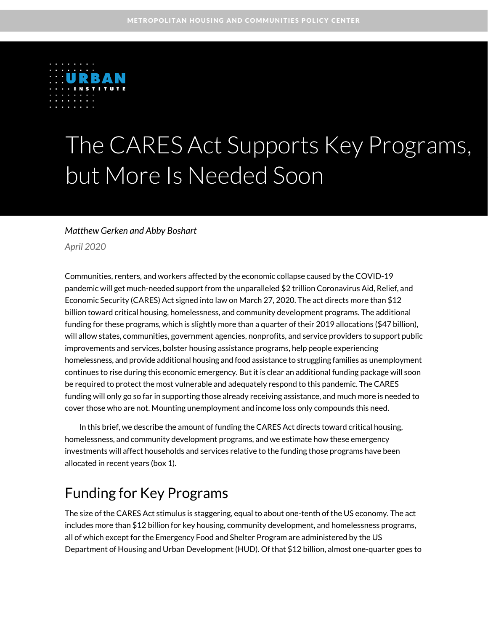

# The CARES Act Supports Key Programs, but More Is Needed Soon

#### *Matthew Gerken and Abby Boshart*

*April 2020* 

Communities, renters, and workers affected by the economic collapse caused by the COVID-19 pandemic will get much-needed support from the unparalleled \$2 trillion Coronavirus Aid, Relief, and Economic Security (CARES) Act signed into law on March 27, 2020. The act directs more than \$12 billion toward critical housing, homelessness, and community development programs. The additional funding for these programs, which is slightly more than a quarter of their 2019 allocations (\$47 billion), will allow states, communities, government agencies, nonprofits, and service providers to support public improvements and services, bolster housing assistance programs, help people experiencing homelessness, and provide additional housing and food assistance to struggling families as unemployment continues to rise during this economic emergency. But it is clear an additional funding package will soon be required to protect the most vulnerable and adequately respond to this pandemic. The CARES funding will only go so far in supporting those already receiving assistance, and much more is needed to cover those who are not. Mounting unemployment and income loss only compounds this need.

In this brief, we describe the amount of funding the CARES Act directs toward critical housing, homelessness, and community development programs, and we estimate how these emergency investments will affect households and services relative to the funding those programs have been allocated in recent years (box 1).

### Funding for Key Programs

The size of the CARES Act stimulus is staggering, equal to about one-tenth of the US economy. The act includes more than \$12 billion for key housing, community development, and homelessness programs, all of which except for the Emergency Food and Shelter Program are administered by the US Department of Housing and Urban Development (HUD). Of that \$12 billion, almost one-quarter goes to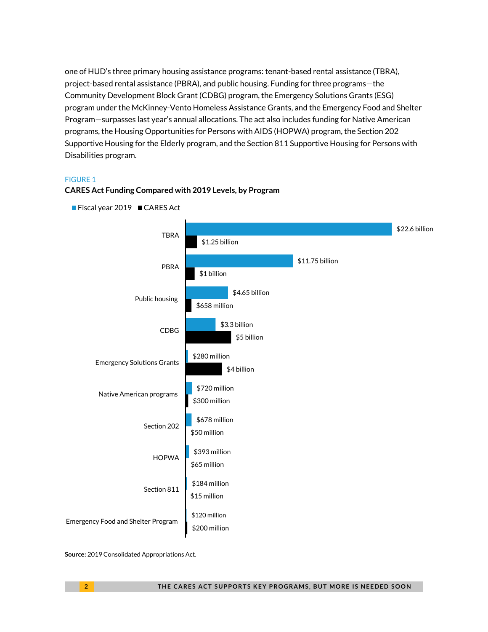one of HUD's three primary housing assistance programs: tenant-based rental assistance (TBRA), project-based rental assistance (PBRA), and public housing. Funding for three programs—the Community Development Block Grant (CDBG) program, the Emergency Solutions Grants (ESG) program under the McKinney-Vento Homeless Assistance Grants, and the Emergency Food and Shelter Program—surpasses last year's annual allocations. The act also includes funding for Native American programs, the Housing Opportunities for Persons with AIDS (HOPWA) program, the Section 202 Supportive Housing for the Elderly program, and the Section 811 Supportive Housing for Persons with Disabilities program.

#### FIGURE 1



#### **CARES Act Funding Compared with 2019 Levels, by Program**

**Source:** 2019 Consolidated Appropriations Act.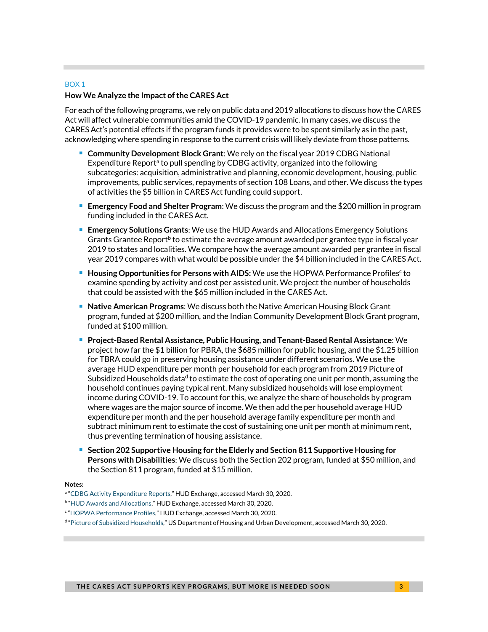#### BOX 1

#### **How We Analyze the Impact of the CARES Act**

For each of the following programs, we rely on public data and 2019 allocations to discuss how the CARES Act will affect vulnerable communities amid the COVID-19 pandemic. In many cases, we discuss the CARES Act's potential effects if the program funds it provides were to be spent similarly as in the past, acknowledging where spending in response to the current crisis will likely deviate from those patterns.

- **Community Development Block Grant**: We rely on the fiscal year 2019 CDBG National Expenditure Report<sup>a</sup> to pull spending by CDBG activity, organized into the following subcategories: acquisition, administrative and planning, economic development, housing, public improvements, public services, repayments of section 108 Loans, and other. We discuss the types of activities the \$5 billion in CARES Act funding could support.
- **Emergency Food and Shelter Program**: We discuss the program and the \$200 million in program funding included in the CARES Act.
- **Emergency Solutions Grants**: We use the HUD Awards and Allocations Emergency Solutions Grants Grantee Report<sup>b</sup> to estimate the average amount awarded per grantee type in fiscal year 2019 to states and localities. We compare how the average amount awarded per grantee in fiscal year 2019 compares with what would be possible under the \$4 billion included in the CARES Act.
- **Housing Opportunities for Persons with AIDS:** We use the HOPWA Performance Profiles<sup>c</sup> to examine spending by activity and cost per assisted unit. We project the number of households that could be assisted with the \$65 million included in the CARES Act.
- **Native American Programs:** We discuss both the Native American Housing Block Grant program, funded at \$200 million, and the Indian Community Development Block Grant program, funded at \$100 million.
- **Project-Based Rental Assistance, Public Housing, and Tenant-Based Rental Assistance**: We project how far the \$1 billion for PBRA, the \$685 million for public housing, and the \$1.25 billion for TBRA could go in preserving housing assistance under different scenarios. We use the average HUD expenditure per month per household for each program from 2019 Picture of Subsidized Households data<sup>d</sup> to estimate the cost of operating one unit per month, assuming the household continues paying typical rent. Many subsidized households will lose employment income during COVID-19. To account for this, we analyze the share of households by program where wages are the major source of income. We then add the per household average HUD expenditure per month and the per household average family expenditure per month and subtract minimum rent to estimate the cost of sustaining one unit per month at minimum rent, thus preventing termination of housing assistance.
- **Section 202 Supportive Housing for the Elderly and Section 811 Supportive Housing for Persons with Disabilities**: We discuss both the Section 202 program, funded at \$50 million, and the Section 811 program, funded at \$15 million.

#### **Notes:**

a "CDBG Activity Expenditure Reports," HUD Exchange, accessed March 30, 2020.

<sup>&</sup>lt;sup>b</sup> "HUD Awards and Allocations," HUD Exchange, accessed March 30, 2020.

<sup>&</sup>lt;sup>c</sup> "HOPWA Performance Profiles," HUD Exchange, accessed March 30, 2020.

d "Picture of Subsidized Households," US Department of Housing and Urban Development, accessed March 30, 2020.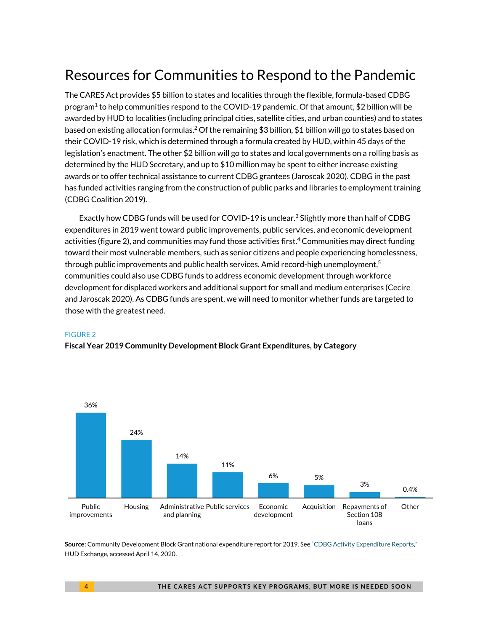# Resources for Communities to Respond to the Pandemic

The CARES Act provides \$5 billion to states and localities through the flexible, formula-based CDBG program<sup>1</sup> to help communities respond to the COVID-19 pandemic. Of that amount, \$2 billion will be awarded by HUD to localities (including principal cities, satellite cities, and urban counties) and to states based on existing allocation formulas.2 Of the remaining \$3 billion, \$1 billion will go to states based on their COVID-19 risk, which is determined through a formula created by HUD, within 45 days of the legislation's enactment. The other \$2 billion will go to states and local governments on a rolling basis as determined by the HUD Secretary, and up to \$10 million may be spent to either increase existing awards or to offer technical assistance to current CDBG grantees (Jaroscak 2020). CDBG in the past has funded activities ranging from the construction of public parks and libraries to employment training (CDBG Coalition 2019).

Exactly how CDBG funds will be used for COVID-19 is unclear.<sup>3</sup> Slightly more than half of CDBG expenditures in 2019 went toward public improvements, public services, and economic development activities (figure 2), and communities may fund those activities first.<sup>4</sup> Communities may direct funding toward their most vulnerable members, such as senior citizens and people experiencing homelessness, through public improvements and public health services. Amid record-high unemployment, $^5$ communities could also use CDBG funds to address economic development through workforce development for displaced workers and additional support for small and medium enterprises (Cecire and Jaroscak 2020). As CDBG funds are spent, we will need to monitor whether funds are targeted to those with the greatest need.

#### FIGURE 2

**Fiscal Year 2019 Community Development Block Grant Expenditures, by Category** 



**Source:** Community Development Block Grant national expenditure report for 2019. See "CDBG Activity Expenditure Reports," HUD Exchange, accessed April 14, 2020.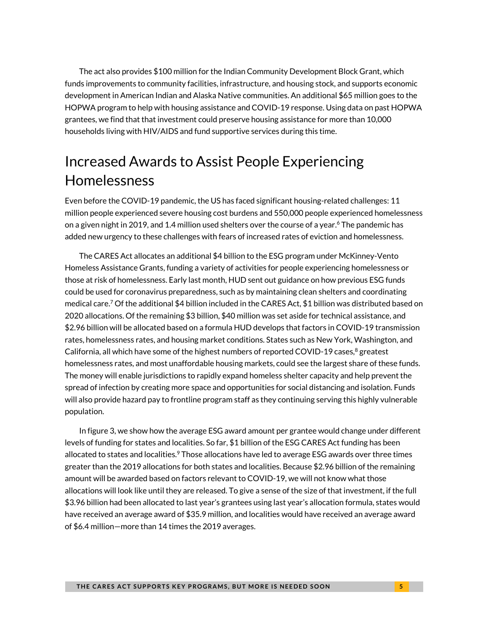The act also provides \$100 million for the Indian Community Development Block Grant, which funds improvements to community facilities, infrastructure, and housing stock, and supports economic development in American Indian and Alaska Native communities. An additional \$65 million goes to the HOPWA program to help with housing assistance and COVID-19 response. Using data on past HOPWA grantees, we find that that investment could preserve housing assistance for more than 10,000 households living with HIV/AIDS and fund supportive services during this time.

# Increased Awards to Assist People Experiencing Homelessness

Even before the COVID-19 pandemic, the US has faced significant housing-related challenges: 11 million people experienced severe housing cost burdens and 550,000 people experienced homelessness on a given night in 2019, and 1.4 million used shelters over the course of a year.<sup>6</sup> The pandemic has added new urgency to these challenges with fears of increased rates of eviction and homelessness.

The CARES Act allocates an additional \$4 billion to the ESG program under McKinney-Vento Homeless Assistance Grants, funding a variety of activities for people experiencing homelessness or those at risk of homelessness. Early last month, HUD sent out guidance on how previous ESG funds could be used for coronavirus preparedness, such as by maintaining clean shelters and coordinating medical care.7 Of the additional \$4 billion included in the CARES Act, \$1 billion was distributed based on 2020 allocations. Of the remaining \$3 billion, \$40 million was set aside for technical assistance, and \$2.96 billion will be allocated based on a formula HUD develops that factors in COVID-19 transmission rates, homelessness rates, and housing market conditions. States such as New York, Washington, and California, all which have some of the highest numbers of reported COVID-19 cases,<sup>8</sup> greatest homelessness rates, and most unaffordable housing markets, could see the largest share of these funds. The money will enable jurisdictions to rapidly expand homeless shelter capacity and help prevent the spread of infection by creating more space and opportunities for social distancing and isolation. Funds will also provide hazard pay to frontline program staff as they continuing serving this highly vulnerable population.

In figure 3, we show how the average ESG award amount per grantee would change under different levels of funding for states and localities. So far, \$1 billion of the ESG CARES Act funding has been allocated to states and localities.<sup>9</sup> Those allocations have led to average ESG awards over three times greater than the 2019 allocations for both states and localities. Because \$2.96 billion of the remaining amount will be awarded based on factors relevant to COVID-19, we will not know what those allocations will look like until they are released. To give a sense of the size of that investment, if the full \$3.96 billion had been allocated to last year's grantees using last year's allocation formula, states would have received an average award of \$35.9 million, and localities would have received an average award of \$6.4 million—more than 14 times the 2019 averages.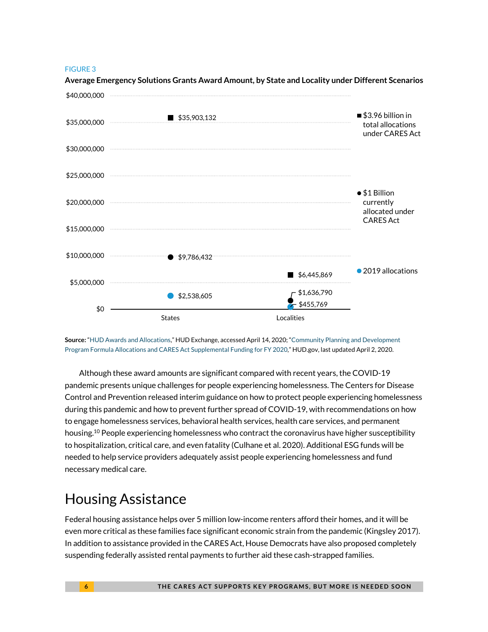#### FIGURE 3



**Average Emergency Solutions Grants Award Amount, by State and Locality under Different Scenarios** 

**Source:** "HUD Awards and Allocations," HUD Exchange, accessed April 14, 2020; "Community Planning and Development Program Formula Allocations and CARES Act Supplemental Funding for FY 2020," HUD.gov, last updated April 2, 2020.

Although these award amounts are significant compared with recent years, the COVID-19 pandemic presents unique challenges for people experiencing homelessness. The Centers for Disease Control and Prevention released interim guidance on how to protect people experiencing homelessness during this pandemic and how to prevent further spread of COVID-19, with recommendations on how to engage homelessness services, behavioral health services, health care services, and permanent housing.<sup>10</sup> People experiencing homelessness who contract the coronavirus have higher susceptibility to hospitalization, critical care, and even fatality (Culhane et al. 2020). Additional ESG funds will be needed to help service providers adequately assist people experiencing homelessness and fund necessary medical care.

### Housing Assistance

Federal housing assistance helps over 5 million low-income renters afford their homes, and it will be even more critical as these families face significant economic strain from the pandemic (Kingsley 2017). In addition to assistance provided in the CARES Act, House Democrats have also proposed completely suspending federally assisted rental payments to further aid these cash-strapped families.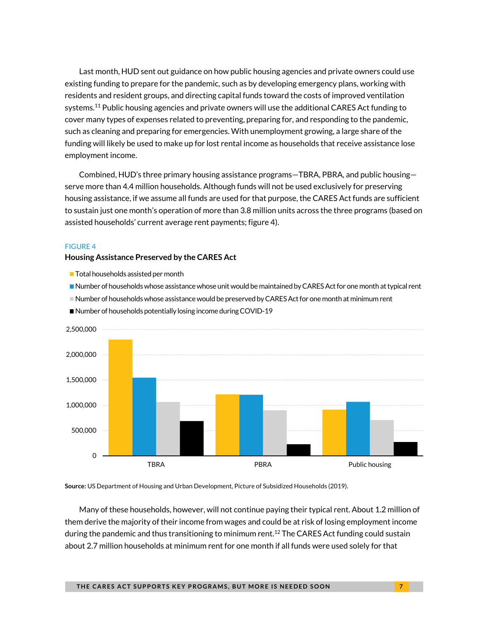Last month, HUD sent out guidance on how public housing agencies and private owners could use existing funding to prepare for the pandemic, such as by developing emergency plans, working with residents and resident groups, and directing capital funds toward the costs of improved ventilation systems.<sup>11</sup> Public housing agencies and private owners will use the additional CARES Act funding to cover many types of expenses related to preventing, preparing for, and responding to the pandemic, such as cleaning and preparing for emergencies. With unemployment growing, a large share of the funding will likely be used to make up for lost rental income as households that receive assistance lose employment income.

Combined, HUD's three primary housing assistance programs—TBRA, PBRA, and public housing serve more than 4.4 million households. Although funds will not be used exclusively for preserving housing assistance, if we assume all funds are used for that purpose, the CARES Act funds are sufficient to sustain just one month's operation of more than 3.8 million units across the three programs (based on assisted households' current average rent payments; figure 4).

#### FIGURE 4

#### **Housing Assistance Preserved by the CARES Act**

- Total households assisted per month
- Number of households whose assistance whose unit would be maintained by CARES Act for one month at typical rent
- Number of households whose assistance would be preserved by CARES Act for one month at minimum rent



■ Number of households potentially losing income during COVID-19

**Source:** US Department of Housing and Urban Development, Picture of Subsidized Households (2019).

Many of these households, however, will not continue paying their typical rent. About 1.2 million of them derive the majority of their income from wages and could be at risk of losing employment income during the pandemic and thus transitioning to minimum rent.<sup>12</sup> The CARES Act funding could sustain about 2.7 million households at minimum rent for one month if all funds were used solely for that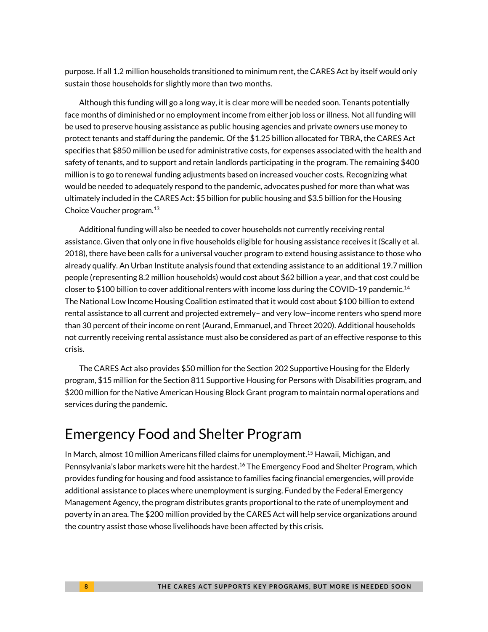purpose. If all 1.2 million households transitioned to minimum rent, the CARES Act by itself would only sustain those households for slightly more than two months.

Although this funding will go a long way, it is clear more will be needed soon. Tenants potentially face months of diminished or no employment income from either job loss or illness. Not all funding will be used to preserve housing assistance as public housing agencies and private owners use money to protect tenants and staff during the pandemic. Of the \$1.25 billion allocated for TBRA, the CARES Act specifies that \$850 million be used for administrative costs, for expenses associated with the health and safety of tenants, and to support and retain landlords participating in the program. The remaining \$400 million is to go to renewal funding adjustments based on increased voucher costs. Recognizing what would be needed to adequately respond to the pandemic, advocates pushed for more than what was ultimately included in the CARES Act: \$5 billion for public housing and \$3.5 billion for the Housing Choice Voucher program.13

Additional funding will also be needed to cover households not currently receiving rental assistance. Given that only one in five households eligible for housing assistance receives it (Scally et al. 2018), there have been calls for a universal voucher program to extend housing assistance to those who already qualify. An Urban Institute analysis found that extending assistance to an additional 19.7 million people (representing 8.2 million households) would cost about \$62 billion a year, and that cost could be closer to \$100 billion to cover additional renters with income loss during the COVID-19 pandemic.14 The National Low Income Housing Coalition estimated that it would cost about \$100 billion to extend rental assistance to all current and projected extremely– and very low–income renters who spend more than 30 percent of their income on rent (Aurand, Emmanuel, and Threet 2020). Additional households not currently receiving rental assistance must also be considered as part of an effective response to this crisis.

The CARES Act also provides \$50 million for the Section 202 Supportive Housing for the Elderly program, \$15 million for the Section 811 Supportive Housing for Persons with Disabilities program, and \$200 million for the Native American Housing Block Grant program to maintain normal operations and services during the pandemic.

### Emergency Food and Shelter Program

In March, almost 10 million Americans filled claims for unemployment.15 Hawaii, Michigan, and Pennsylvania's labor markets were hit the hardest.<sup>16</sup> The Emergency Food and Shelter Program, which provides funding for housing and food assistance to families facing financial emergencies, will provide additional assistance to places where unemployment is surging. Funded by the Federal Emergency Management Agency, the program distributes grants proportional to the rate of unemployment and poverty in an area. The \$200 million provided by the CARES Act will help service organizations around the country assist those whose livelihoods have been affected by this crisis.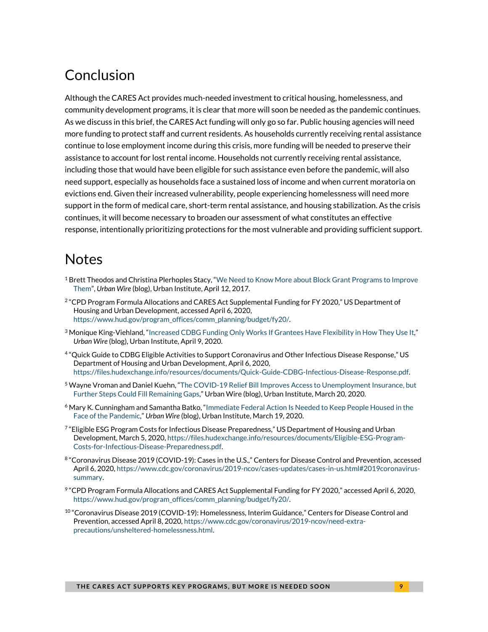# Conclusion

Although the CARES Act provides much-needed investment to critical housing, homelessness, and community development programs, it is clear that more will soon be needed as the pandemic continues. As we discuss in this brief, the CARES Act funding will only go so far. Public housing agencies will need more funding to protect staff and current residents. As households currently receiving rental assistance continue to lose employment income during this crisis, more funding will be needed to preserve their assistance to account for lost rental income. Households not currently receiving rental assistance, including those that would have been eligible for such assistance even before the pandemic, will also need support, especially as households face a sustained loss of income and when current moratoria on evictions end. Given their increased vulnerability, people experiencing homelessness will need more support in the form of medical care, short-term rental assistance, and housing stabilization. As the crisis continues, it will become necessary to broaden our assessment of what constitutes an effective response, intentionally prioritizing protections for the most vulnerable and providing sufficient support.

### **Notes**

- $1$  Brett Theodos and Christina Plerhoples Stacy, "We Need to Know More about Block Grant Programs to Improve Them", *Urban Wire* (blog), Urban Institute, April 12, 2017.
- <sup>2</sup> "CPD Program Formula Allocations and CARES Act Supplemental Funding for FY 2020," US Department of Housing and Urban Development, accessed April 6, 2020, https://www.hud.gov/program\_offices/comm\_planning/budget/fy20/.
- 3 Monique King-Viehland, "Increased CDBG Funding Only Works If Grantees Have Flexibility in How They Use It," *Urban Wire* (blog), Urban Institute, April 9, 2020.
- 4 "Quick Guide to CDBG Eligible Activities to Support Coronavirus and Other Infectious Disease Response," US Department of Housing and Urban Development, April 6, 2020, https://files.hudexchange.info/resources/documents/Quick-Guide-CDBG-Infectious-Disease-Response.pdf.
- 5 Wayne Vroman and Daniel Kuehn, "The COVID-19 Relief Bill Improves Access to Unemployment Insurance, but Further Steps Could Fill Remaining Gaps," Urban Wire (blog), Urban Institute, March 20, 2020.
- <sup>6</sup> Mary K. Cunningham and Samantha Batko, "Immediate Federal Action Is Needed to Keep People Housed in the Face of the Pandemic," *Urban Wire* (blog), Urban Institute, March 19, 2020.
- 7 "Eligible ESG Program Costs for Infectious Disease Preparedness," US Department of Housing and Urban Development, March 5, 2020, https://files.hudexchange.info/resources/documents/Eligible-ESG-Program-Costs-for-Infectious-Disease-Preparedness.pdf.
- 8 "Coronavirus Disease 2019 (COVID-19): Cases in the U.S.," Centers for Disease Control and Prevention, accessed April 6, 2020, https://www.cdc.gov/coronavirus/2019-ncov/cases-updates/cases-in-us.html#2019coronavirussummary.
- 9 "CPD Program Formula Allocations and CARES Act Supplemental Funding for FY 2020," accessed April 6, 2020, https://www.hud.gov/program\_offices/comm\_planning/budget/fy20/.
- $^{10}$  "Coronavirus Disease 2019 (COVID-19): Homelessness, Interim Guidance," Centers for Disease Control and Prevention, accessed April 8, 2020, https://www.cdc.gov/coronavirus/2019-ncov/need-extraprecautions/unsheltered-homelessness.html.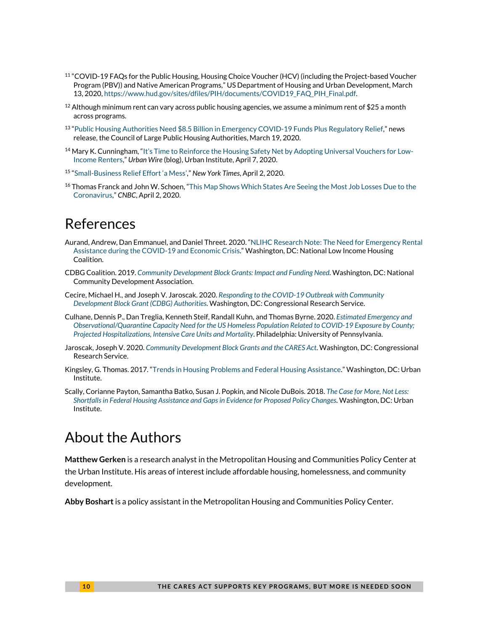- 11 "COVID-19 FAQs for the Public Housing, Housing Choice Voucher (HCV) (including the Project-based Voucher Program (PBV)) and Native American Programs," US Department of Housing and Urban Development, March 13, 2020, https://www.hud.gov/sites/dfiles/PIH/documents/COVID19\_FAQ\_PIH\_Final.pdf.
- $^{12}$  Although minimum rent can vary across public housing agencies, we assume a minimum rent of \$25 a month across programs.
- <sup>13</sup> "Public Housing Authorities Need \$8.5 Billion in Emergency COVID-19 Funds Plus Regulatory Relief," news release, the Council of Large Public Housing Authorities, March 19, 2020.
- <sup>14</sup> Mary K. Cunningham, "It's Time to Reinforce the Housing Safety Net by Adopting Universal Vouchers for Low-Income Renters," *Urban Wire* (blog), Urban Institute, April 7, 2020.
- 15 "Small-Business Relief Effort 'a Mess'," *New York Times*, April 2, 2020.
- <sup>16</sup> Thomas Franck and John W. Schoen, "This Map Shows Which States Are Seeing the Most Job Losses Due to the Coronavirus," *CNBC*, April 2, 2020.

### References

- Aurand, Andrew, Dan Emmanuel, and Daniel Threet. 2020. "NLIHC Research Note: The Need for Emergency Rental Assistance during the COVID-19 and Economic Crisis." Washington, DC: National Low Income Housing Coalition.
- CDBG Coalition. 2019. *Community Development Block Grants: Impact and Funding Need*. Washington, DC: National Community Development Association.
- Cecire, Michael H., and Joseph V. Jaroscak. 2020. *Responding to the COVID-19 Outbreak with Community Development Block Grant (CDBG) Authorities*. Washington, DC: Congressional Research Service.
- Culhane, Dennis P., Dan Treglia, Kenneth Steif, Randall Kuhn, and Thomas Byrne. 2020. *Estimated Emergency and Observational/Quarantine Capacity Need for the US Homeless Population Related to COVID-19 Exposure by County; Projected Hospitalizations, Intensive Care Units and Mortality*. Philadelphia: University of Pennsylvania.
- Jaroscak, Joseph V. 2020. *Community Development Block Grants and the CARES Act*. Washington, DC: Congressional Research Service.
- Kingsley, G. Thomas. 2017. "Trends in Housing Problems and Federal Housing Assistance." Washington, DC: Urban Institute.
- Scally, Corianne Payton, Samantha Batko, Susan J. Popkin, and Nicole DuBois. 2018. *The Case for More, Not Less: Shortfalls in Federal Housing Assistance and Gaps in Evidence for Proposed Policy Changes*. Washington, DC: Urban Institute.

### About the Authors

**Matthew Gerken** is a research analyst in the Metropolitan Housing and Communities Policy Center at the Urban Institute. His areas of interest include affordable housing, homelessness, and community development.

**Abby Boshart** is a policy assistant in the Metropolitan Housing and Communities Policy Center.